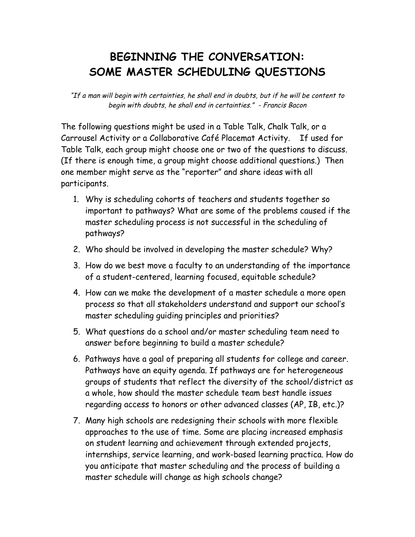## **BEGINNING THE CONVERSATION: SOME MASTER SCHEDULING QUESTIONS**

"If a man will begin with certainties, he shall end in doubts, but if he will be content to begin with doubts, he shall end in certainties." - Francis Bacon

The following questions might be used in a Table Talk, Chalk Talk, or a Carrousel Activity or a Collaborative Café Placemat Activity. If used for Table Talk, each group might choose one or two of the questions to discuss. (If there is enough time, a group might choose additional questions.) Then one member might serve as the "reporter" and share ideas with all participants.

- 1. Why is scheduling cohorts of teachers and students together so important to pathways? What are some of the problems caused if the master scheduling process is not successful in the scheduling of pathways?
- 2. Who should be involved in developing the master schedule? Why?
- 3. How do we best move a faculty to an understanding of the importance of a student-centered, learning focused, equitable schedule?
- 4. How can we make the development of a master schedule a more open process so that all stakeholders understand and support our school's master scheduling guiding principles and priorities?
- 5. What questions do a school and/or master scheduling team need to answer before beginning to build a master schedule?
- 6. Pathways have a goal of preparing all students for college and career. Pathways have an equity agenda. If pathways are for heterogeneous groups of students that reflect the diversity of the school/district as a whole, how should the master schedule team best handle issues regarding access to honors or other advanced classes (AP, IB, etc.)?
- 7. Many high schools are redesigning their schools with more flexible approaches to the use of time. Some are placing increased emphasis on student learning and achievement through extended projects, internships, service learning, and work-based learning practica. How do you anticipate that master scheduling and the process of building a master schedule will change as high schools change?